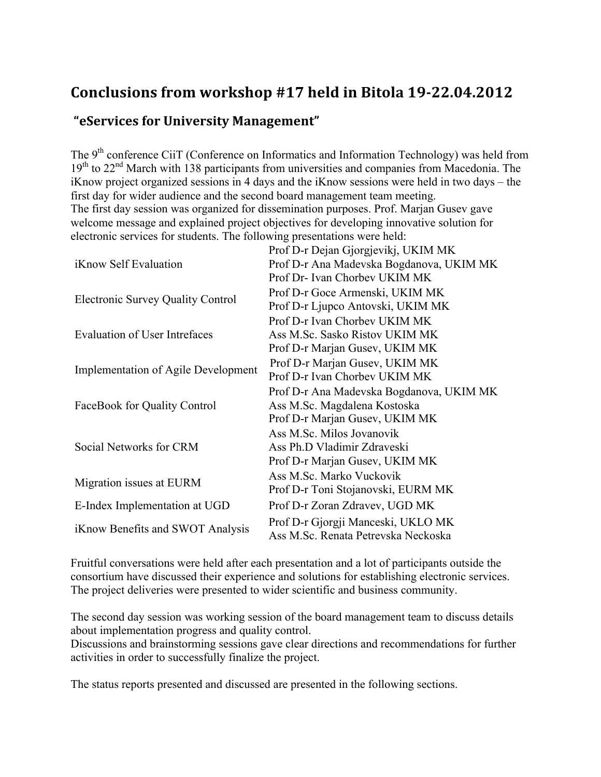### **Conclusions from workshop #17 held in Bitola 19-22.04.2012**

#### **"eServices for University Management"**

The 9<sup>th</sup> conference CiiT (Conference on Informatics and Information Technology) was held from  $19<sup>th</sup>$  to 22<sup>nd</sup> March with 138 participants from universities and companies from Macedonia. The iKnow project organized sessions in 4 days and the iKnow sessions were held in two days – the first day for wider audience and the second board management team meeting. The first day session was organized for dissemination purposes. Prof. Marjan Gusev gave welcome message and explained project objectives for developing innovative solution for electronic services for students. The following presentations were held:

|                                            | Prof D-r Dejan Gjorgjevikj, UKIM MK      |  |  |
|--------------------------------------------|------------------------------------------|--|--|
| <i>i</i> Know Self Evaluation              | Prof D-r Ana Madevska Bogdanova, UKIM MK |  |  |
|                                            | Prof Dr-Ivan Chorbey UKIM MK             |  |  |
| <b>Electronic Survey Quality Control</b>   | Prof D-r Goce Armenski, UKIM MK          |  |  |
|                                            | Prof D-r Ljupco Antovski, UKIM MK        |  |  |
|                                            | Prof D-r Ivan Chorbey UKIM MK            |  |  |
| <b>Evaluation of User Intrefaces</b>       | Ass M.Sc. Sasko Ristov UKIM MK           |  |  |
|                                            | Prof D-r Marjan Gusev, UKIM MK           |  |  |
| <b>Implementation of Agile Development</b> | Prof D-r Marjan Gusev, UKIM MK           |  |  |
|                                            | Prof D-r Ivan Chorbey UKIM MK            |  |  |
|                                            | Prof D-r Ana Madevska Bogdanova, UKIM MK |  |  |
| FaceBook for Quality Control               | Ass M.Sc. Magdalena Kostoska             |  |  |
|                                            | Prof D-r Marjan Gusev, UKIM MK           |  |  |
| Social Networks for CRM                    | Ass M.Sc. Milos Jovanovik                |  |  |
|                                            | Ass Ph.D Vladimir Zdraveski              |  |  |
|                                            | Prof D-r Marjan Gusev, UKIM MK           |  |  |
| Migration issues at EURM                   | Ass M.Sc. Marko Vuckovik                 |  |  |
|                                            | Prof D-r Toni Stojanovski, EURM MK       |  |  |
| E-Index Implementation at UGD              | Prof D-r Zoran Zdravev, UGD MK           |  |  |
|                                            | Prof D-r Gjorgji Manceski, UKLO MK       |  |  |
| iKnow Benefits and SWOT Analysis           | Ass M.Sc. Renata Petrevska Neckoska      |  |  |

Fruitful conversations were held after each presentation and a lot of participants outside the consortium have discussed their experience and solutions for establishing electronic services. The project deliveries were presented to wider scientific and business community.

The second day session was working session of the board management team to discuss details about implementation progress and quality control.

Discussions and brainstorming sessions gave clear directions and recommendations for further activities in order to successfully finalize the project.

The status reports presented and discussed are presented in the following sections.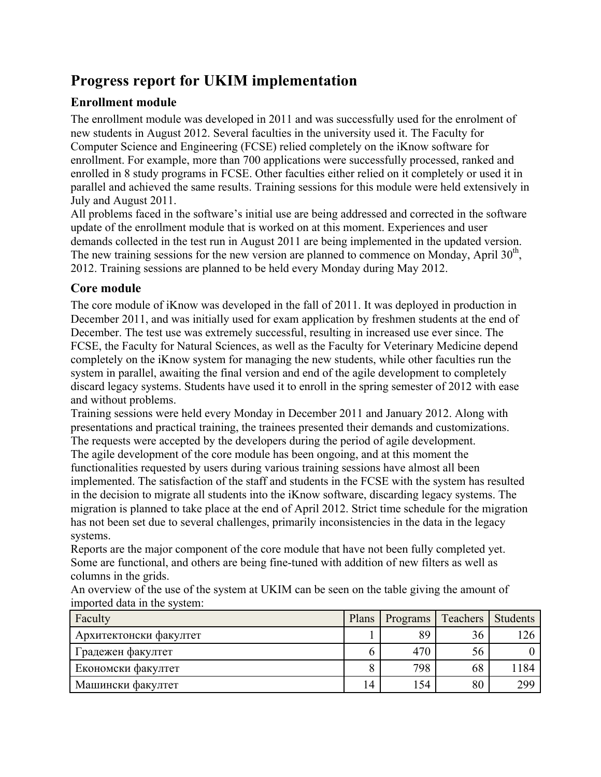# **Progress report for UKIM implementation**

### **Enrollment module**

The enrollment module was developed in 2011 and was successfully used for the enrolment of new students in August 2012. Several faculties in the university used it. The Faculty for Computer Science and Engineering (FCSE) relied completely on the iKnow software for enrollment. For example, more than 700 applications were successfully processed, ranked and enrolled in 8 study programs in FCSE. Other faculties either relied on it completely or used it in parallel and achieved the same results. Training sessions for this module were held extensively in July and August 2011.

All problems faced in the software's initial use are being addressed and corrected in the software update of the enrollment module that is worked on at this moment. Experiences and user demands collected in the test run in August 2011 are being implemented in the updated version. The new training sessions for the new version are planned to commence on Monday, April  $30<sup>th</sup>$ , 2012. Training sessions are planned to be held every Monday during May 2012.

#### **Core module**

The core module of iKnow was developed in the fall of 2011. It was deployed in production in December 2011, and was initially used for exam application by freshmen students at the end of December. The test use was extremely successful, resulting in increased use ever since. The FCSE, the Faculty for Natural Sciences, as well as the Faculty for Veterinary Medicine depend completely on the iKnow system for managing the new students, while other faculties run the system in parallel, awaiting the final version and end of the agile development to completely discard legacy systems. Students have used it to enroll in the spring semester of 2012 with ease and without problems.

Training sessions were held every Monday in December 2011 and January 2012. Along with presentations and practical training, the trainees presented their demands and customizations. The requests were accepted by the developers during the period of agile development. The agile development of the core module has been ongoing, and at this moment the functionalities requested by users during various training sessions have almost all been implemented. The satisfaction of the staff and students in the FCSE with the system has resulted in the decision to migrate all students into the iKnow software, discarding legacy systems. The migration is planned to take place at the end of April 2012. Strict time schedule for the migration has not been set due to several challenges, primarily inconsistencies in the data in the legacy systems.

Reports are the major component of the core module that have not been fully completed yet. Some are functional, and others are being fine-tuned with addition of new filters as well as columns in the grids.

An overview of the use of the system at UKIM can be seen on the table giving the amount of imported data in the system:

| Faculty                | Plans          | Programs | Teachers | Students |
|------------------------|----------------|----------|----------|----------|
| Архитектонски факултет |                | 89       | 36       | 126      |
| Градежен факултет      | n              | 470      | 56       |          |
| Економски факултет     |                | 798      | 68       | 184      |
| Машински факултет      | $\overline{A}$ | 154      | 80       | 299      |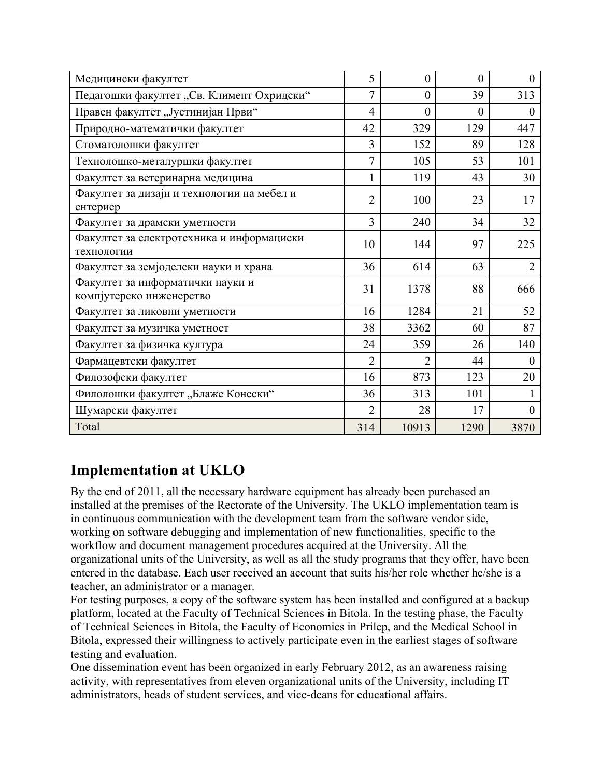| Медицински факултет                                          | 5              | $\overline{0}$   | $\theta$ | $\Omega$       |
|--------------------------------------------------------------|----------------|------------------|----------|----------------|
| Педагошки факултет "Св. Климент Охридски"                    | 7              | $\theta$         | 39       | 313            |
| Правен факултет "Јустинијан Први"                            | $\overline{4}$ | $\boldsymbol{0}$ | $\theta$ | $\overline{0}$ |
| Природно-математички факултет                                | 42             | 329              | 129      | 447            |
| Стоматолошки факултет                                        | 3              | 152              | 89       | 128            |
| Технолошко-металуршки факултет                               | $\overline{7}$ | 105              | 53       | 101            |
| Факултет за ветеринарна медицина                             | 1              | 119              | 43       | 30             |
| Факултет за дизајн и технологии на мебел и<br>ентериер       | $\overline{2}$ | 100              | 23       | 17             |
| Факултет за драмски уметности                                | 3              | 240              | 34       | 32             |
| Факултет за електротехника и информациски<br>технологии      | 10             | 144              | 97       | 225            |
| Факултет за земјоделски науки и храна                        | 36             | 614              | 63       | $\overline{2}$ |
| Факултет за информатички науки и<br>компјутерско инженерство | 31             | 1378             | 88       | 666            |
| Факултет за ликовни уметности                                | 16             | 1284             | 21       | 52             |
| Факултет за музичка уметност                                 | 38             | 3362             | 60       | 87             |
| Факултет за физичка култура                                  | 24             | 359              | 26       | 140            |
| Фармацевтски факултет                                        | $\overline{2}$ | 2                | 44       | $\theta$       |
| Филозофски факултет                                          | 16             | 873              | 123      | 20             |
| Филолошки факултет "Блаже Конески"                           | 36             | 313              | 101      |                |
| Шумарски факултет                                            | $\overline{2}$ | 28               | 17       | $\overline{0}$ |
| Total                                                        | 314            | 10913            | 1290     | 3870           |

## **Implementation at UKLO**

By the end of 2011, all the necessary hardware equipment has already been purchased an installed at the premises of the Rectorate of the University. The UKLO implementation team is in continuous communication with the development team from the software vendor side, working on software debugging and implementation of new functionalities, specific to the workflow and document management procedures acquired at the University. All the organizational units of the University, as well as all the study programs that they offer, have been entered in the database. Each user received an account that suits his/her role whether he/she is a teacher, an administrator or a manager.

For testing purposes, a copy of the software system has been installed and configured at a backup platform, located at the Faculty of Technical Sciences in Bitola. In the testing phase, the Faculty of Technical Sciences in Bitola, the Faculty of Economics in Prilep, and the Medical School in Bitola, expressed their willingness to actively participate even in the earliest stages of software testing and evaluation.

One dissemination event has been organized in early February 2012, as an awareness raising activity, with representatives from eleven organizational units of the University, including IT administrators, heads of student services, and vice-deans for educational affairs.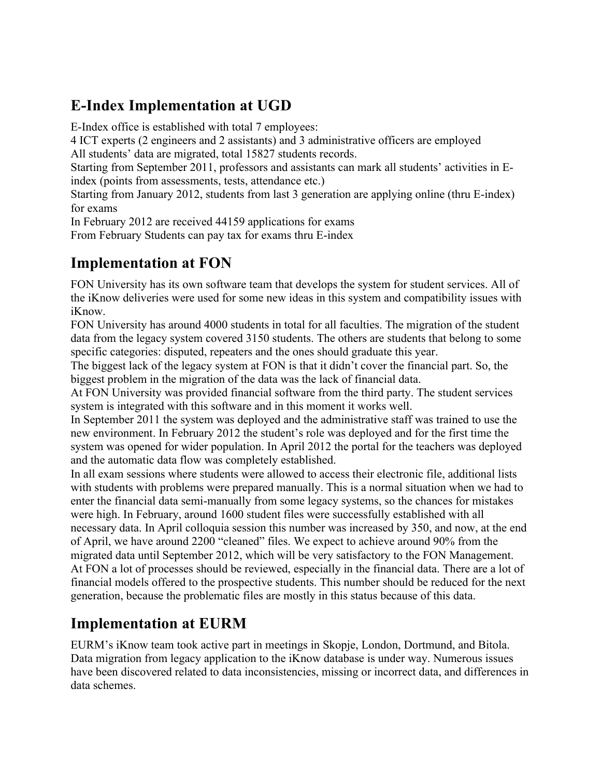## **E-Index Implementation at UGD**

E-Index office is established with total 7 employees:

4 ICT experts (2 engineers and 2 assistants) and 3 administrative officers are employed

All students' data are migrated, total 15827 students records.

Starting from September 2011, professors and assistants can mark all students' activities in Eindex (points from assessments, tests, attendance etc.)

Starting from January 2012, students from last 3 generation are applying online (thru E-index) for exams

In February 2012 are received 44159 applications for exams

From February Students can pay tax for exams thru E-index

### **Implementation at FON**

FON University has its own software team that develops the system for student services. All of the iKnow deliveries were used for some new ideas in this system and compatibility issues with iKnow.

FON University has around 4000 students in total for all faculties. The migration of the student data from the legacy system covered 3150 students. The others are students that belong to some specific categories: disputed, repeaters and the ones should graduate this year.

The biggest lack of the legacy system at FON is that it didn't cover the financial part. So, the biggest problem in the migration of the data was the lack of financial data.

At FON University was provided financial software from the third party. The student services system is integrated with this software and in this moment it works well.

In September 2011 the system was deployed and the administrative staff was trained to use the new environment. In February 2012 the student's role was deployed and for the first time the system was opened for wider population. In April 2012 the portal for the teachers was deployed and the automatic data flow was completely established.

In all exam sessions where students were allowed to access their electronic file, additional lists with students with problems were prepared manually. This is a normal situation when we had to enter the financial data semi-manually from some legacy systems, so the chances for mistakes were high. In February, around 1600 student files were successfully established with all necessary data. In April colloquia session this number was increased by 350, and now, at the end of April, we have around 2200 "cleaned" files. We expect to achieve around 90% from the migrated data until September 2012, which will be very satisfactory to the FON Management. At FON a lot of processes should be reviewed, especially in the financial data. There are a lot of financial models offered to the prospective students. This number should be reduced for the next generation, because the problematic files are mostly in this status because of this data.

## **Implementation at EURM**

EURM's iKnow team took active part in meetings in Skopje, London, Dortmund, and Bitola. Data migration from legacy application to the iKnow database is under way. Numerous issues have been discovered related to data inconsistencies, missing or incorrect data, and differences in data schemes.